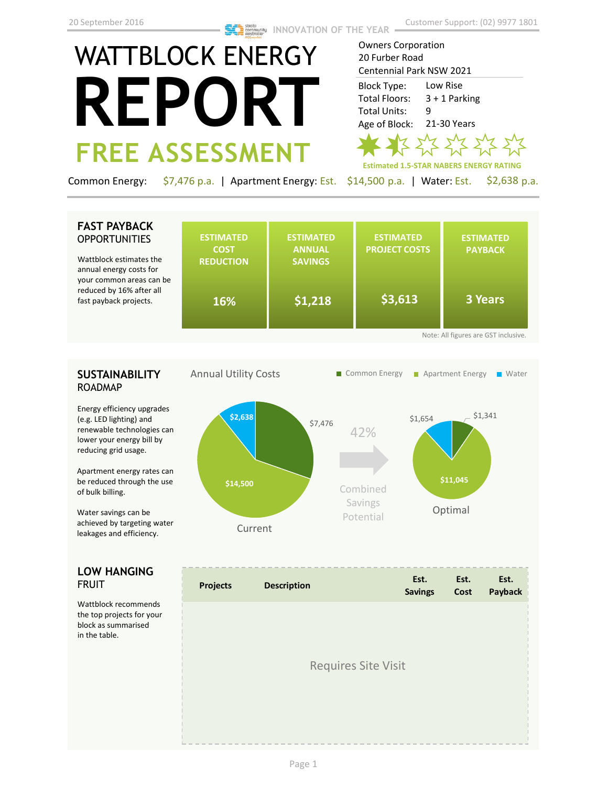Owners Corporation 20 Furber Road

# WATTBLOCK ENERGY **REPORT FREE ASSESSMENT**

Centennial Park NSW 2021 Low Rise 3 + 1 Parking 9 21-30 Years Block Type: Total Floors: Total Units: Age of Block:



Common Energy: \$7,476 p.a. | Apartment Energy: Est. \$14,500 p.a. | Water: Est. \$2,638 p.a.

## **FAST PAYBACK OPPORTUNITIES**

Wattblock estimates the annual energy costs for your common areas can be reduced by 16% after all fast payback projects.

|    | <b>ESTIMATED</b><br><b>COST</b><br><b>REDUCTION</b> | <b>ESTIMATED</b><br><b>ANNUAL</b><br><b>SAVINGS</b> | <b>ESTIMATED</b><br><b>PROJECT COSTS</b> | <b>ESTIMATED</b><br><b>PAYBACK</b> |  |  |  |
|----|-----------------------------------------------------|-----------------------------------------------------|------------------------------------------|------------------------------------|--|--|--|
| э. | 16%                                                 | \$1,218                                             | \$3,613                                  | 3 Years                            |  |  |  |
|    | Note: All figures are GST inclusive.                |                                                     |                                          |                                    |  |  |  |

## **SUSTAINABILITY** ROADMAP

Energy efficiency upgrades (e.g. LED lighting) and renewable technologies can lower your energy bill by reducing grid usage.

Apartment energy rates can be reduced through the use of bulk billing.

Water savings can be achieved by targeting water leakages and efficiency.

## **LOW HANGING**  FRUIT

Wattblock recommends the top projects for your block as summarised in the table.